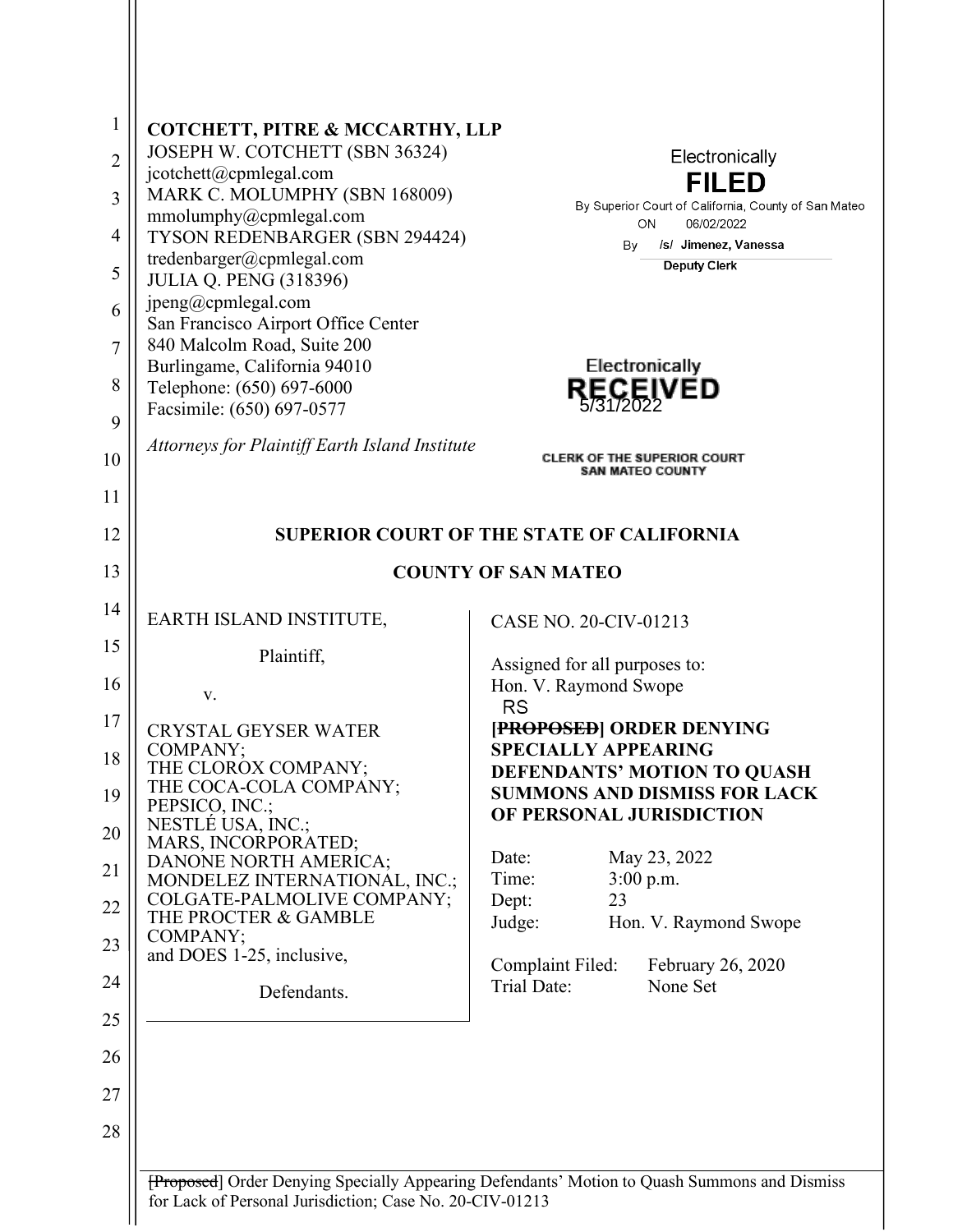| 1<br>$\overline{2}$<br>$\overline{3}$<br>$\overline{4}$<br>5<br>6<br>$\overline{7}$ | COTCHETT, PITRE & MCCARTHY, LLP<br>JOSEPH W. COTCHETT (SBN 36324)<br>jcotchett@cpmlegal.com<br>MARK C. MOLUMPHY (SBN 168009)<br>mmolumphy@cpmlegal.com<br>TYSON REDENBARGER (SBN 294424)<br>tredenbarger@cpmlegal.com<br><b>JULIA Q. PENG (318396)</b><br>jpeng@cpmlegal.com<br>San Francisco Airport Office Center<br>840 Malcolm Road, Suite 200<br>Burlingame, California 94010 | Electronically<br><b>FILED</b><br>By Superior Court of California, County of San Mateo<br>ON<br>06/02/2022<br>/s/ Jimenez, Vanessa<br>By<br><b>Deputy Clerk</b><br>Electronically |  |
|-------------------------------------------------------------------------------------|------------------------------------------------------------------------------------------------------------------------------------------------------------------------------------------------------------------------------------------------------------------------------------------------------------------------------------------------------------------------------------|-----------------------------------------------------------------------------------------------------------------------------------------------------------------------------------|--|
| 8                                                                                   | Telephone: (650) 697-6000                                                                                                                                                                                                                                                                                                                                                          | <b>RECEIVED</b>                                                                                                                                                                   |  |
| 9                                                                                   | Facsimile: (650) 697-0577                                                                                                                                                                                                                                                                                                                                                          |                                                                                                                                                                                   |  |
| 10                                                                                  | Attorneys for Plaintiff Earth Island Institute                                                                                                                                                                                                                                                                                                                                     | <b>CLERK OF THE SUPERIOR COURT</b><br>SAN MATEO COUNTY                                                                                                                            |  |
| 11                                                                                  |                                                                                                                                                                                                                                                                                                                                                                                    |                                                                                                                                                                                   |  |
| 12                                                                                  | <b>SUPERIOR COURT OF THE STATE OF CALIFORNIA</b>                                                                                                                                                                                                                                                                                                                                   |                                                                                                                                                                                   |  |
| 13                                                                                  | <b>COUNTY OF SAN MATEO</b>                                                                                                                                                                                                                                                                                                                                                         |                                                                                                                                                                                   |  |
| 14                                                                                  | EARTH ISLAND INSTITUTE,                                                                                                                                                                                                                                                                                                                                                            | CASE NO. 20-CIV-01213                                                                                                                                                             |  |
| 15                                                                                  | Plaintiff,                                                                                                                                                                                                                                                                                                                                                                         | Assigned for all purposes to:                                                                                                                                                     |  |
| 16                                                                                  | V.                                                                                                                                                                                                                                                                                                                                                                                 | Hon. V. Raymond Swope<br><b>RS</b>                                                                                                                                                |  |
| 17                                                                                  | <b>CRYSTAL GEYSER WATER</b>                                                                                                                                                                                                                                                                                                                                                        | [PROPOSED] ORDER DENYING                                                                                                                                                          |  |
| 18                                                                                  | COMPANY;<br>THE CLOROX COMPANY;                                                                                                                                                                                                                                                                                                                                                    | <b>SPECIALLY APPEARING</b>                                                                                                                                                        |  |
| 19                                                                                  | THE COCA-COLA COMPANY;                                                                                                                                                                                                                                                                                                                                                             | DEFENDANTS' MOTION TO QUASH<br><b>SUMMONS AND DISMISS FOR LACK</b>                                                                                                                |  |
|                                                                                     | PEPSICO, INC.;<br>NESTLÉ USA, INC.;                                                                                                                                                                                                                                                                                                                                                | OF PERSONAL JURISDICTION                                                                                                                                                          |  |
| 20                                                                                  | MARS, INCORPORATED;<br>DANONE NORTH AMERICA;                                                                                                                                                                                                                                                                                                                                       | May 23, 2022<br>Date:                                                                                                                                                             |  |
| 21                                                                                  | MONDELEZ INTERNATIONAL, INC.;                                                                                                                                                                                                                                                                                                                                                      | Time:<br>3:00 p.m.                                                                                                                                                                |  |
| $22\,$                                                                              | COLGATE-PALMOLIVE COMPANY;<br>THE PROCTER & GAMBLE                                                                                                                                                                                                                                                                                                                                 | 23<br>Dept:<br>Judge:<br>Hon. V. Raymond Swope                                                                                                                                    |  |
| 23                                                                                  | COMPANY;<br>and DOES 1-25, inclusive,                                                                                                                                                                                                                                                                                                                                              |                                                                                                                                                                                   |  |
| 24                                                                                  | Defendants.                                                                                                                                                                                                                                                                                                                                                                        | Complaint Filed:<br>February 26, 2020<br><b>Trial Date:</b><br>None Set                                                                                                           |  |
| 25                                                                                  |                                                                                                                                                                                                                                                                                                                                                                                    |                                                                                                                                                                                   |  |
|                                                                                     |                                                                                                                                                                                                                                                                                                                                                                                    |                                                                                                                                                                                   |  |
| 26                                                                                  |                                                                                                                                                                                                                                                                                                                                                                                    |                                                                                                                                                                                   |  |
| 27                                                                                  |                                                                                                                                                                                                                                                                                                                                                                                    |                                                                                                                                                                                   |  |
| 28                                                                                  |                                                                                                                                                                                                                                                                                                                                                                                    |                                                                                                                                                                                   |  |
|                                                                                     |                                                                                                                                                                                                                                                                                                                                                                                    | [Proposed] Order Denying Specially Appearing Defendants' Motion to Quash Summons and Dismiss                                                                                      |  |

for Lack of Personal Jurisdiction; Case No. 20-CIV-01213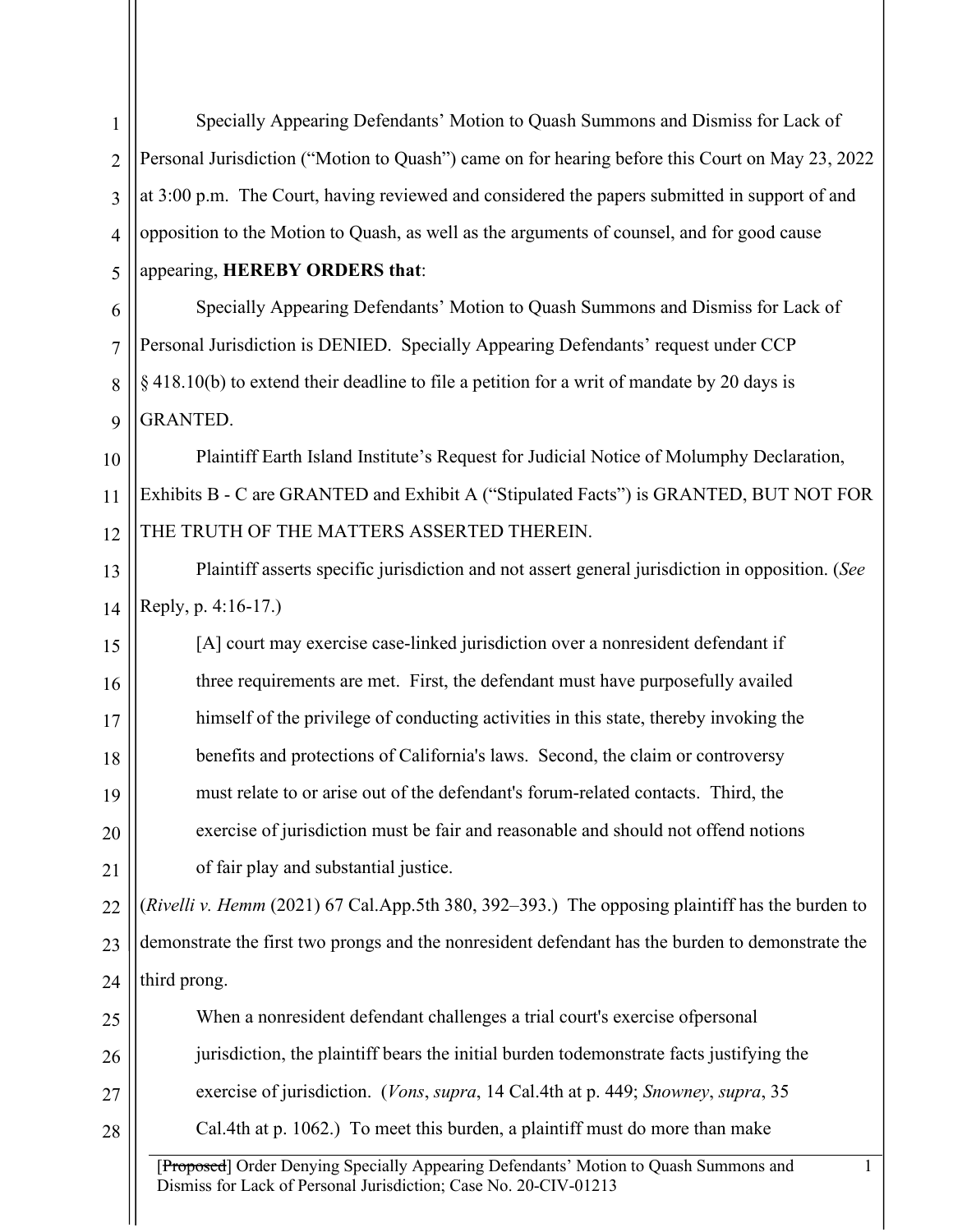[Proposed] Order Denying Specially Appearing Defendants' Motion to Quash Summons and Dismiss for Lack of Personal Jurisdiction; Case No. 20-CIV-01213 1 1 2 3 4 5 6 7 8 9 10 11 12 13 14 15 16 17 18 19 20 21 22 23 24 25 26 27 28 Specially Appearing Defendants' Motion to Quash Summons and Dismiss for Lack of Personal Jurisdiction ("Motion to Quash") came on for hearing before this Court on May 23, 2022 at 3:00 p.m. The Court, having reviewed and considered the papers submitted in support of and opposition to the Motion to Quash, as well as the arguments of counsel, and for good cause appearing, **HEREBY ORDERS that**: Specially Appearing Defendants' Motion to Quash Summons and Dismiss for Lack of Personal Jurisdiction is DENIED. Specially Appearing Defendants' request under CCP § 418.10(b) to extend their deadline to file a petition for a writ of mandate by 20 days is GRANTED. Plaintiff Earth Island Institute's Request for Judicial Notice of Molumphy Declaration, Exhibits B - C are GRANTED and Exhibit A ("Stipulated Facts") is GRANTED, BUT NOT FOR THE TRUTH OF THE MATTERS ASSERTED THEREIN. Plaintiff asserts specific jurisdiction and not assert general jurisdiction in opposition. (*See* Reply, p. 4:16-17.) [A] court may exercise case-linked jurisdiction over a nonresident defendant if three requirements are met. First, the defendant must have purposefully availed himself of the privilege of conducting activities in this state, thereby invoking the benefits and protections of California's laws. Second, the claim or controversy must relate to or arise out of the defendant's forum-related contacts. Third, the exercise of jurisdiction must be fair and reasonable and should not offend notions of fair play and substantial justice. (*Rivelli v. Hemm* (2021) 67 Cal.App.5th 380, 392–393.) The opposing plaintiff has the burden to demonstrate the first two prongs and the nonresident defendant has the burden to demonstrate the third prong. When a nonresident defendant challenges a trial court's exercise ofpersonal jurisdiction, the plaintiff bears the initial burden todemonstrate facts justifying the exercise of jurisdiction. (*Vons*, *supra*, 14 Cal.4th at p. 449; *Snowney*, *supra*, 35 Cal.4th at p. 1062.) To meet this burden, a plaintiff must do more than make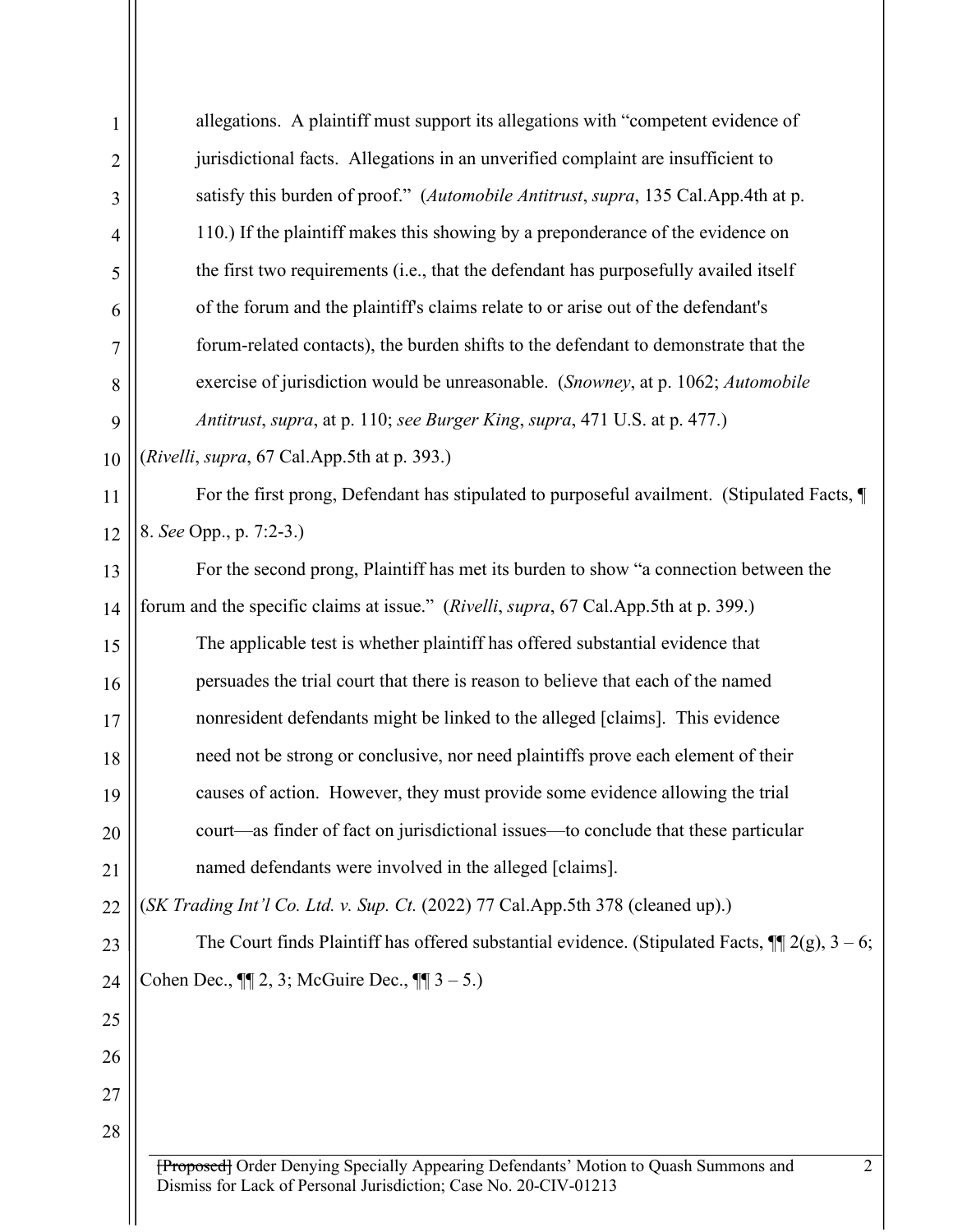| $\mathbf{1}$   | allegations. A plaintiff must support its allegations with "competent evidence of                                                                             |  |  |  |
|----------------|---------------------------------------------------------------------------------------------------------------------------------------------------------------|--|--|--|
| $\overline{2}$ | jurisdictional facts. Allegations in an unverified complaint are insufficient to                                                                              |  |  |  |
| 3              | satisfy this burden of proof." (Automobile Antitrust, supra, 135 Cal.App.4th at p.                                                                            |  |  |  |
| $\overline{4}$ | 110.) If the plaintiff makes this showing by a preponderance of the evidence on                                                                               |  |  |  |
| 5              | the first two requirements (i.e., that the defendant has purposefully availed itself                                                                          |  |  |  |
| 6              | of the forum and the plaintiff's claims relate to or arise out of the defendant's                                                                             |  |  |  |
| $\overline{7}$ | forum-related contacts), the burden shifts to the defendant to demonstrate that the                                                                           |  |  |  |
| 8              | exercise of jurisdiction would be unreasonable. (Snowney, at p. 1062; Automobile                                                                              |  |  |  |
| 9              | Antitrust, supra, at p. 110; see Burger King, supra, 471 U.S. at p. 477.)                                                                                     |  |  |  |
| 10             | (Rivelli, supra, 67 Cal.App.5th at p. 393.)                                                                                                                   |  |  |  |
| 11             | For the first prong, Defendant has stipulated to purposeful availment. (Stipulated Facts, ¶                                                                   |  |  |  |
| 12             | 8. See Opp., p. 7:2-3.)                                                                                                                                       |  |  |  |
| 13             | For the second prong, Plaintiff has met its burden to show "a connection between the                                                                          |  |  |  |
| 14             | forum and the specific claims at issue." (Rivelli, supra, 67 Cal.App.5th at p. 399.)                                                                          |  |  |  |
| 15             | The applicable test is whether plaintiff has offered substantial evidence that                                                                                |  |  |  |
| 16             | persuades the trial court that there is reason to believe that each of the named                                                                              |  |  |  |
| 17             | nonresident defendants might be linked to the alleged [claims]. This evidence                                                                                 |  |  |  |
| 18             | need not be strong or conclusive, nor need plaintiffs prove each element of their                                                                             |  |  |  |
| 19             | causes of action. However, they must provide some evidence allowing the trial                                                                                 |  |  |  |
| 20             | court—as finder of fact on jurisdictional issues—to conclude that these particular                                                                            |  |  |  |
| 21             | named defendants were involved in the alleged [claims].                                                                                                       |  |  |  |
| 22             | (SK Trading Int'l Co. Ltd. v. Sup. Ct. (2022) 77 Cal.App.5th 378 (cleaned up).)                                                                               |  |  |  |
| 23             | The Court finds Plaintiff has offered substantial evidence. (Stipulated Facts, $\P$ 2(g), 3 – 6;                                                              |  |  |  |
| 24             | Cohen Dec., $\P$ [2, 3; McGuire Dec., $\P$ [3 – 5.)                                                                                                           |  |  |  |
| 25             |                                                                                                                                                               |  |  |  |
| 26             |                                                                                                                                                               |  |  |  |
| 27             |                                                                                                                                                               |  |  |  |
| 28             |                                                                                                                                                               |  |  |  |
|                | [Proposed] Order Denying Specially Appearing Defendants' Motion to Quash Summons and<br>2<br>Dismiss for Lack of Personal Jurisdiction; Case No. 20-CIV-01213 |  |  |  |